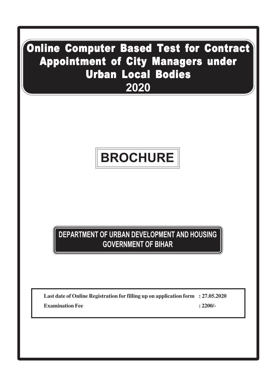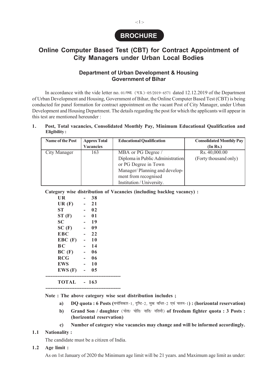

# **Online Computer Based Test (CBT) for Contract Appointment of City Managers under Urban Local Bodies**

# **Department of Urban Development & Housing Government of Bihar**

In accordance with the vide letter no. 01/ $\overline{\mathcal{R}}$  ( $\overline{\mathcal{R}}$ ,  $(\overline{\mathcal{R}})$ ,  $(0.5/2019 - 6571)$  dated 12.12.2019 of the Department of Urban Development and Housing, Government of Bihar, the Online Computer Based Test (CBT) is being conducted for panel formation for contract appointment on the vacant Post of City Manager, under Urban Development and Housing Department. The details regarding the post for which the applicants will appear in this test are mentioned hereunder :

#### **1. Post, Total vacancies, Consolidated Monthly Pay, Minimum Educational Qualification and Eligibility :**

| Name of the Post | <b>Approx Total</b> | <b>Educational Qualification</b> | <b>Consolidated Monthly Pay</b> |
|------------------|---------------------|----------------------------------|---------------------------------|
|                  | <b>Vacancies</b>    |                                  | (In Rs.)                        |
| City Manager     | 163                 | MBA or PG Degree /               | Rs. 40,000.00                   |
|                  |                     | Diploma in Public Administration | (Forty thousand only)           |
|                  |                     | or PG Degree in Town             |                                 |
|                  |                     | Manager/Planning and develop-    |                                 |
|                  |                     | ment from recognised             |                                 |
|                  |                     | Institution / University.        |                                 |

**Category wise distribution of Vacancies (including backlog vacancy) :**

| <b>UR</b>   | 38             |
|-------------|----------------|
| UR(F)       | 21             |
| <b>ST</b>   | 02             |
| ST(F)       | 01             |
| <b>SC</b>   | 19             |
| SC(F)       | 09             |
| <b>EBC</b>  | 22             |
| $EBC$ $(F)$ | <b>10</b>      |
| BС          | 14             |
| BC(F)       | 06             |
| <b>RCG</b>  | 06             |
| <b>EWS</b>  | <b>10</b>      |
| EWS(F)      | 0 <sub>5</sub> |
| TOTAL       | $-163$         |

**--------------------------------------------**

**Note : The above category wise seat distribution includes ;**

- a) **DO quota : 6 Posts (मनोविकार-1, दुष्टि-2, मुक वधिर-2 एवं चलन-1) : (horizontal reservation)**
- b) Grand Son / daughter (पोता/ पोति/ नाति/ नतिनी) of freedum fighter quota : 3 Posts : **(horizontal reservation)**

 **c) Number of category wise vacancies may change and will be informed accordingly.**

#### **1.1 Nationality :**

The candidate must be a citizen of India.

#### **1.2 Age limit :**

As on 1st January of 2020 the Minimum age limit will be 21 years. and Maximum age limit as under:

-: 1 :-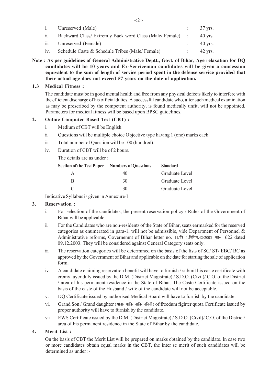|                            | i. Unreserved (Male)                                      | $\therefore$ 37 yrs. |
|----------------------------|-----------------------------------------------------------|----------------------|
| $\overline{\mathbf{11}}$ . | Backward Class/ Extremly Back word Class (Male/ Female) : | 40 vrs.              |
|                            | iii. Unreserved (Female)                                  | 40 yrs.              |
|                            | iv. Schedule Caste & Schedule Tribes (Male/Female)        | 42 yrs.              |

**Note : As per guidelines of General Administrative Deptt., Govt. of Bihar, Age relaxation for DQ candidates will be 10 years and Ex-Serviceman candidates will be given a concession equivalent to the sum of length of service period spent in the defense service provided that their actual age does not exceed 57 years on the date of application.**

## **1.3 Medical Fitness :**

The candidate must be in good mental health and free from any physical defects likely to interfere with the efficient discharge of his official duties. A successful candidate who, after such medical examination as may be prescribed by the competent authority, is found medically unfit, will not be appointed. Parameters for medical fitness will be based upon BPSC guidelines.

# **2. Online Computer Based Test (CBT) :**

- i. Medium of CBT will be English.
- ii. Questions will be multiple choice Objective type having 1 (one) marks each.
- iii. Total number of Question will be 100 (hundred).
- iv. Duration of CBT will be of 2 hours.

The details are as under :

| <b>Section of the Test Paper</b> | <b>Numbers of Questions</b> | <b>Standard</b> |
|----------------------------------|-----------------------------|-----------------|
|                                  | 40                          | Graduate Level  |
| R                                | 30                          | Graduate Level  |
|                                  | 30                          | Graduate Level  |

Indicative Syllabus is given in Annexure-I

## **3. Reservation :**

- i. For selection of the candidates, the present reservation policy / Rules of the Government of Bihar will be applicable.
- ii. For the Candidates who are non-residents of the State of Bihar, seats earmarked for the reserved categories as enumerated in para-1, will not be admissible, vide Department of Personnel & Administrative reforms, Governemnt of Bihar letter no. 11/वि 1.विविध.42/2003 का० 622 dated 09.12.2003. They will be considered against General Category seats only.
- iii. The reservation categories will be determined on the basis of the lists of SC/ ST/ EBC/ BC as approved by the Government of Bihar and applicable on the date for starting the sale of application form.
- iv. A candidate claiming reservation benefit will have to furnish / submit his caste certificate with cremy layer duly issued by the D.M. (District Magistrate) / S.D.O. (Civil)/ C.O. of the District / area of his permanent residence in the State of Bihar. The Caste Certificate issued on the basis of the caste of the Husband / wife of the candidate will not be acceptable.
- v. DQ Certificate issued by authorised Medical Board will have to furnish by the candidate.
- vi. Grand Son / Grand daughter (पोता/ पोति/ नाति/ नतिनी) of freedum fighter quota Certificate issued by proper authority will have to furnish by the candidate.
- vii. EWS Certificate issued by the D.M. (District Magistrate) / S.D.O. (Civil)/ C.O. of the District/ area of his permanent residence in the State of Bihar by the candidate.

## **4. Merit List :**

On the basis of CBT the Merit List will be prepared on marks obtained by the candidate. In case two or more candidates obtain equal marks in the CBT, the inter se merit of such candidates will be determined as under :-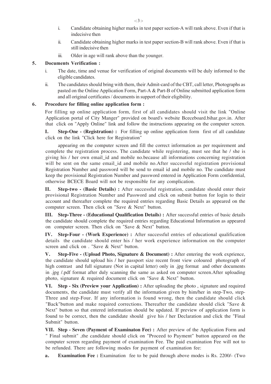- i. Candidate obtaining higher marks in test paper section-A will rank above. Even if that is indecisive then
- ii. Candidate obtaining higher marks in test paper section-B will rank above. Even if that is still indecisive then
- iii. Older in age will rank above than the younger.

# **5. Documents Verification :**

- i. The date, time and venue for verification of original documents will be duly informed to the eligible candidates.
- ii. The candidates should bring with them, their Admit-card of the CBT, call letter, Photographs as pasted on the Online Application Form, Part-A & Part-B of Online submitted application form and all original certificates / documents in support of their eligibility.

# **6. Procedure for filling online application form :**

For filling up online application form, first of all candidates should visit the link "Online Application portal of City Manger" provided on board's website Bceceboard.bihar.gov.in. After that click on "Apply Online" link and follow the instructions appearing on the computer screen.

**I. Step-One - (Registration) :** For filling up online application form first of all candidate click on the link "Click here for Registration"

appearing on the computer screen and fill the correct information as per requirement and complete the registration process. The candidate while registering, must see that he / she is giving his / her own email\_id and mobile no.because all informations concerning registration will be sent on the same email id and mobile no.After successful registration provisional Registration Number and password will be send to email id and mobile no. The candidate must keep the provisional Registration Number and password entered in Application Form confidential, otherwise BCECE Board will not be responsible for any complication.

**II. Step-two - (Basic Details) :** After successful registration, candidate should enter their provisional Registration Number and Password and click on submit button for login to their account and thereafter complete the required entries regarding Basic Details as appeared on the computer screen. Then click on "Save & Next" button.

**III. Step-Three - (Educational Qualification Details) :** After successful entries of basic details the candidate should complete the required entries regarding Educational Information as appeared on computer screen. Then click on "Save & Next" button.

**IV. Step-Four - (Work Experience) :** After successful entries of educational qualification details the candidate should enter his / her work experience information on the computer screen and click on . "Save & Next" button.

**V. Step-Five - (Upload Photo, Signature & Document) :** After entering the work exprience, the candidate should upload his / her passport size recent front view coloured photograph of high contrast and full signature (Not in capital letter) only in .jpg format and other documents in .jpg /.pdf format after duly scanning the same as asked on computer screen.After uploading photo, signature & required document click on "Save & Next" button.

**VI. Step - Six (Preview your Application) :** After uploading the photo , signature and required documents, the candidate must verify all the information given by him/her in step-Two, step-Three and step-Four. If any information is found wrong, then the candidate should click "Back"button and make required corrections. Thereafter the candidate should click "Save & Next" button so that entered information should be updated. If preview of application form is found to be correct, then the candidate should give his / her Declaration and click the "Final Submit" button.

**VII. Step - Seven (Payment of Examinaton Fee) :** After preview of the Application Form and " Final submit" ,the candidate should click on "Proceed to Payment" button appeared on the computer screen regarding payment of examination Fee. The paid examination Fee will not to be refunded. There are following modes for payment of examination fee:

**a. Examination Fee :** Examination fee to be paid through above modes is Rs. 2200/- (Two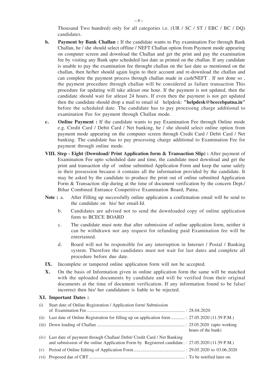Thousand Two hundred) only for all categories i.e. (UR / SC / ST / EBC / BC / DQ) candidates.

- **b. Payment by Bank Challan :** If the candidate wants to Pay examination Fee through Bank Challan, he / she should select offline / NEFT Challan option from Payment mode appearing on computer screen and download the Challan and get the print and pay the examination fee by visiting any Bank upto scheduled last date as printed on the challan. If any candidate is unable to pay the examination fee throught challan on the last date as mentioned on the challan, then he/her should again login to their account and re-download the challan and can complete the payment process through challan made in cash/NEFT . If not done so , the payment procedure through challan will be considered as failure transaction This procedure for updating will take atleast one hour. If the payment is not updated, then the candidate should wait for atleast 24 hours. If even then the payment is not get updated then the candidate should drop a mail to email id helpdesk: **"helpdesk@bcecebpatna.in"** before the scheduled date. The candidate has to pay processing charge additional to examination Fee for payment through Challan mode.
- **c. Online Payment :** If the candidate wants to pay Examination Fee through Online mode e.g. Credit Card / Debit Card / Net banking, he / she should select online option from payment mode appearing on the computer screen through Credit Card / Debit Card / Net banking. The candidate has to pay processing charge additional to Examination Fee for payment through online mode.
- **VIII. Step Eight (Download/ Print Application form & Transaction Slip) :** After payment of Examination Fee upto scheduled date and time, the candidate must download and get the print and transaction slip of online submitted Application Form and keep the same safely in their possession because it contains all the information provided by the candidate. It may be asked by the candidate to produce the print out of online submitted Application Form & Transaction slip during at the time of document verification by the concern Dept./ Bihar Combined Entrance Competitive Examination Board, Patna.
- **Note :** a. After Filling up successfully online application a confirmation email will be send to the candidate on his/ her email-Id.
	- b. Candidates are advised not to send the downloaded copy of online application form to BCECE BOARD
	- c. The candidate must note that after submission of online application form, neither it can be withdrawn nor any request for refunding paid Examination fee will be entertained.
	- d. Board will not be responsible for any interruption in Internet / Postal / Banking system. Therefore the candidates must not wait for last dates and complete all procedure before due date.
- **IX.** Incomplete or tampered online application form will not be accepted.
- **X.** On the basis of Information given in online application form the same will be matched with the uploaded documents by candidate and will be verified from their original documents at the time of document verification. If any information found to be false/ incorrect then his/ her candidature is liable to be rejected.

#### **XI. Important Dates :**

| (i) | Start date of Online Registration / Application form/ Submission                                    |                    |
|-----|-----------------------------------------------------------------------------------------------------|--------------------|
|     |                                                                                                     |                    |
|     | (ii) Last date of Online Registration for filling up on application form  : 27.05.2020 (11.59 P.M.) |                    |
|     |                                                                                                     | hours of the bank) |
|     | (iv) Last date of payment through Challan/ Debit/ Credit Card / Net Banking                         |                    |
|     | and submission of the online Application Form by Registered candidate .: 27.05.2020 (11.59 P.M.)    |                    |
| (v) |                                                                                                     |                    |
|     |                                                                                                     |                    |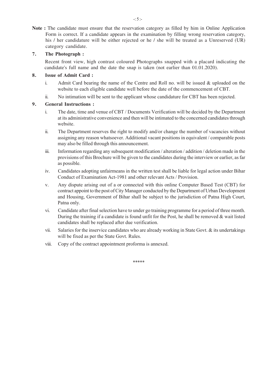**Note :** The candidate must ensure that the reservation category as filled by him in Online Application Form is correct. If a candidate appears in the examination by filling wrong reservation category, his / her candidature will be either rejected or he / she will be treated as a Unreserved (UR) category candidate.

# **7. The Photograph :**

Recent front view, high contrast coloured Photographs snapped with a placard indicating the candidate's full name and the date the snap is taken (not earlier than 01.01.2020).

# **8. Issue of Admit Card :**

- i. Admit Card bearing the name of the Centre and Roll no. will be issued & uploaded on the website to each eligible candidate well before the date of the commencement of CBT.
- ii. No intimation will be sent to the applicant whose candidature for CBT has been rejected.

# **9. General Instructions :**

- i. The date, time and venue of CBT / Documents Verification will be decided by the Department at its administrative convenience and then will be intimated to the concerned candidates through website.
- ii. The Department reserves the right to modify and/or change the number of vacancies without assigning any reason whatsoever. Additional vacant positions in equivalent / comparable posts may also be filled through this announcement.
- iii. Information regarding any subsequent modification / alteration / addition / deletion made in the provisions of this Brochure will be given to the candidates during the interview or earlier, as far as possible.
- iv. Candidates adopting unfairmeans in the written test shall be liable for legal action under Bihar Conduct of Examination Act-1981 and other relevant Acts / Provision.
- v. Any dispute arising out of a or connected with this online Computer Based Test (CBT) for contract appoint to the post of City Manager conducted by the Department of Urban Development and Housing, Government of Bihar shall be subject to the jurisdiction of Patna High Court, Patna only.
- vi. Candidate after final selection have to under go training programme for a period of three month. During the training if a candidate is found unfit for the Post, he shall be removed  $\&$  wait listed candidates shall be replaced after due verification.
- vii. Salaries for the inservice candidates who are already working in State Govt.  $\&$  its undertakings will be fixed as per the State Govt. Rules.
- viii. Copy of the contract appointment proforma is annexed.

\*\*\*\*\*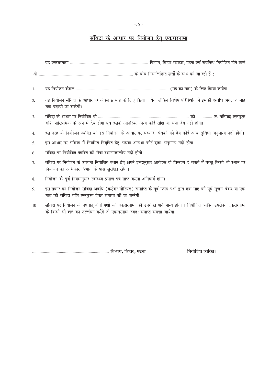-: 6 :-

# <u>संविदा के आधार पर नियोजन हेतु एकरारनामा</u>

| $\overline{1}$ . |                                                                                                                                                                                                     |
|------------------|-----------------------------------------------------------------------------------------------------------------------------------------------------------------------------------------------------|
| 2.               | यह नियोजन संविदा के आधार पर केवल 6 माह के लिए किया जायेगा लेकिन विशेष परिस्थिति में इसकी अवधि अगले 6 माह<br>तक बढ़ायी जा सकेगी।                                                                     |
| 3.               | राशि पारिश्रमिक के रूप में देय होगा एवं इसके अतिरिक्त अन्य कोई राशि या भत्ता देय नहीं होगा।                                                                                                         |
| 4.               | इस तरह के नियोजित व्यक्ति को इस नियोजन के आधार पर सरकारी सेवकों को देय कोई अन्य सुविधा अनुमान्य नहीं होगी।                                                                                          |
| 5.               | इस आधार पर भविष्य में नियमित नियुक्ति हेतु अथवा अन्यथा कोई दावा अनुमान्य नहीं होगा।                                                                                                                 |
| 6.               | संविदा पर नियोजित व्यक्ति की सेवा स्थानान्तरणीय नहीं होगी।                                                                                                                                          |
| 7.               | संविदा पर नियोजन के उपरान्त नियोजित स्थान हेतु अपने इच्छानुसार आवेदक दो विकल्प दे सकते हैं परन्तु किसी भी स्थान पर<br>नियोजन का अधिकार विभाग के पास सुरक्षित रहेगा।                                 |
| 8.               | नियोजन के पूर्व नियमानुसार स्वास्थ्य प्रमाण पत्र प्राप्त करना अनिवार्य होगा।                                                                                                                        |
| 9.               | इस प्रकार का नियोजन संविदा अवधि (कंट्रेक्ट पीरियड) समाप्ति के पूर्व उभय पक्षों द्वारा एक माह की पूर्व सूचना देकर या एक<br>माह की संविदा राशि एकमुश्त देकर समाप्त की जा सकेगी।                       |
| 10               | संविदा पर नियोजन के पश्चात् दोनों पक्षों को एकरारनामा की उपरोक्त शर्ते मान्य होगी । नियोजित व्यक्ति उपरोक्त एकरारनामा<br>के किसी भी शर्त्त का उल्लंघन करेंगे तो एकरारनामा स्वत: समाप्त समझा जायेगा। |
|                  |                                                                                                                                                                                                     |

**------------------------------------------------------------------------ foHkkx] fcgkj] iVuk fu;ksftr O;fDrA**